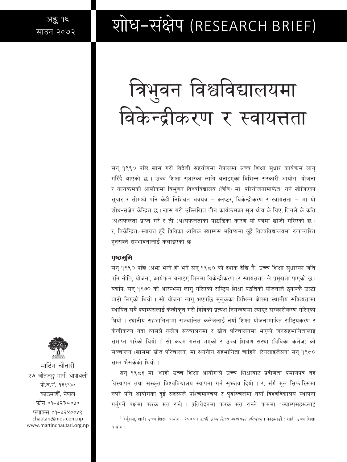## शोध-संक्षेप (RESEARCH BRIEF)

# त्रिभुवन विश्वविद्यालयमा विकेन्द्रीकरण र स्वायत्तता

सन् १९९० पछि खास गरी विदेशी सहयोगमा नेपालमा उच्च शिक्षा सुधार कार्यक्रम लाग् गरिँदै आएको छ । उच्च शिक्षा सुधारका लागि बनाइएका विभिन्न सरकारी आयोग, योजना र कार्यक्रमको आलोकमा त्रिभुवन विश्वविद्यालय (त्रिवि) मा 'परियोजनामार्फत' गर्न खोजिएका सुधार र तीमध्ये पनि केही निश्चित अवयव – क्लष्टर, विकेन्द्रीकरण र स्वायत्तता – मा यो शोध-संक्षेप केन्द्रित छ। खास गरी उल्लिखित तीन कार्यक्रमका मुल ध्येय के थिए, तिनले के कति (अ)सफलता प्राप्त गरे र ती (अ)सफलताका पछाडिका कारण यो पत्रमा खोजी गरिएको छ । र, विकेन्द्रित ⁄ स्वायत्त हुँदै त्रिविका आंगिक क्याम्पस भविष्यमा छुट्टै विश्वविद्यालयमा रूपान्तरित हनसक्ने सम्भावनालाई केलाइएको छ।

#### पुष्ठभूमि

सन् १९९० पछि (अभ्रु भन्ने हो भने सन् १९८० को दशक देखि नै) उच्च शिक्षा सुधारका जति पनि नीति, योजना, कार्यक्रम बनाइए तिनमा विकेन्द्रीकरण (र स्वायत्तता) ले प्रमुखता पाएको छ। यद्यपि, सन् १९७० को आरम्भमा लागु गरिएको राष्ट्रिय शिक्षा पद्धतिको योजनाले ठुयाक्कै उल्टो बाटो लिएको थियो । सो योजना लागु भएपछि मुलुकका विभिन्न क्षेत्रमा स्थानीय सक्रियतामा स्थापित सबै क्याम्पसलाई केन्द्रीकृत गरी त्रिविको प्रत्यक्ष नियन्त्रणमा ल्याएर सरकारीकरण गरिएको थियो । स्थानीय सहभागितामा सञ्चालित कलेजलाई नयाँ शिक्षा योजनामार्फत राष्ट्रियकरण र केन्द्रीकरण गर्दा त्यसले कलेज सञ्चालनमा र स्रोत परिचालनमा भएको जनसहभागितालाई समाप्त पारेको थियो । सो कदम गलत भएको र उच्च शिक्षण संस्था (त्रिविका कलेज) को सञ्चालन (खासमा स्रोत परिचालन) मा स्थानीय सहभागिता चाहिने 'रियलाइजेसन' सन १९८० सम्म भैसकेको थियो ।

सन् १९८३ मा 'शाही उच्च शिक्षा आयोग'ले उच्च शिक्षाबाट प्रवीणता प्रमाणपत्र तह विस्थापन तथा संस्कृत विश्वविद्यालय स्थापना गर्न सुभ्राव दियो । र, सँगै मूल सिफारिसमा नपरे पनि आयोगका दुई सदस्यले पश्चिमाञ्चल र पूर्वाञ्चलमा नयाँ विश्वविद्यालय स्थापना गर्नुपर्ने पक्षमा फरक मत राखे । प्रतिवेदनमा फरक मत राख्ने क्रममा "क्याम्पसहरूलाई

<sup>9</sup> हेर्नुहोस्, शाही उच्च शिक्षा आयोग । २०४० । *शाही उच्च शिक्षा आयोगको प्रतिवेदन* । काठमाडौँ : शाही उच्च शिक्षा आयोग ।



मार्टिन चौतारी २७ जीतजङ्ग मार्ग, थापाथली पो.ब.नं. १३४७० काठमाडौँ. नेपाल फोन ०१-४२३८०५०

फ्याक्स ०१-४२४००५९ chautari@mos.com.np www.martinchautari.org.np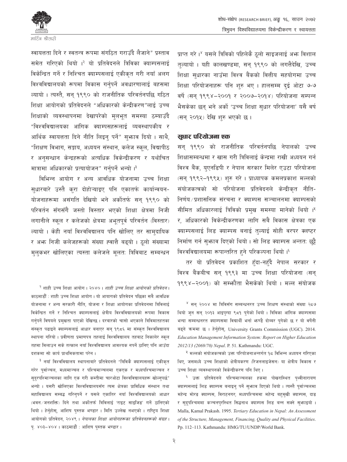

त्रिभुवन विश्वविद्यालयमा विकेन्द्रीकरण र स्वायत्तता

स्वायत्तता दिने र स्वतन्त्र रूपमा संगठित गराउँदै लैजाने" प्रस्ताव समेत गरिएको थियो ।<sup>२</sup> यो प्रतिवेदनले त्रिविका क्याम्पसलाई विकेन्द्रित गर्ने र निश्चित क्याम्पसलाई एकीकृत गरी नयाँ अलग विश्वविद्यालयको रूपमा विकास गर्नुपर्ने अवधारणालाई बहसमा ल्यायो । त्यस्तै, सन् १९९० को राजनीतिक परिवर्तनपछि गठित शिक्षा आयोगको प्रतिवेदनले "अधिकारको केन्द्रीकरण"लाई उच्च शिक्षाको व्यवस्थापनमा देखापरेको मुलभूत समस्या ठम्याउँदै "विश्वविद्यालयका आंगिक क्याम्पसहरूलाई व्यवस्थापकीय र आर्थिक स्वायत्तता दिने नीति लिइन् पर्ने" सभ्राव दियो । साथै, "शिक्षण विभाग, सङ्काय, अध्ययन संस्थान, कलेज स्कूल, विद्यापीठ र अनुसन्धान केन्द्रहरूको अत्यधिक विकेन्द्रीकरण र यथोचित मात्रामा अधिकारको प्रत्यायोजन" गर्नुपर्ने भन्यो ।

विभिन्न आयोग र अन्य आवधिक योजनामा उच्च शिक्षा सुधारबारे उस्तै करा दोहोऱ्याइए पनि एकातर्फ कार्यान्वयन-योजनाहरूमा असंगति देखियो भने अर्कोतर्फ सन् १९९० को परिवर्तन सँगसँगै जस्तो विस्तार भएको शिक्षा क्षेत्रमा निजी लगानीले स्कूल र कलेजको क्षेत्रमा अभूतपूर्व परिवर्तन (विस्तार) ल्यायो । केही नयाँ विश्वविद्यालय पनि खोलिए तर सामदायिक र अफ्त निजी कलेजहरूको संख्या ह्वात्तै बढ्यो । ठलो संख्यामा मुलकभर खोलिएका त्यस्ता कलेजले मूलत: त्रिविबाट सम्बन्धन

<sup>२</sup> शाही उच्च शिक्षा आयोग । २०४० । *शाही उच्च शिक्षा आयोगको प्रतिवेदन* । काठमाडौँ : शाही उच्च शिक्षा आयोग । यो आयागको प्रतिवेदन पछिका सबै आवधिक योजनामा र अन्य सरकारी नीति, योजना र शिक्षा आयोगका प्रतिवेदनमा त्रिविलाई विकेन्द्रित गर्ने र निश्चित क्याम्पसलाई क्षेत्रीय विश्वविद्यालयको रूपमा विकास गर्नुपर्ने विषयले प्रमुखता पाएको देखिन्छ । दरबारको चासो भएकाले त्रिविमातहतका संस्कृत पढाइने क्याम्पसलाई आधार बनाएर सन् १९८६ मा संस्कृत विश्वविद्यालय स्थापना गरियो । प्रवीणता प्रमाणपत्र तहलाई विश्वविद्यालय तहबाट निकालेर स्कूल तहमा मिलाउन सके तत्काल नयाँ विश्वविद्यालय आवश्यक नपर्ने ठानिए पनि आउँदा दशकमा सो कार्य प्राथमिकतामा परेन ।

<sup>३</sup> नयाँ विश्वविद्यालय स्थापनाबारे प्रतिवेदनले "त्रिविकै क्याम्पसलाई एकीकृत गरेर पूर्वाञ्चल, मध्यमाञ्चल र पश्चिमाञ्चलमा एकएक र मध्यपश्चिमाञ्चल र सूद्रपश्माञ्चलका लागि एक गरी कम्तीमा चारओटा विश्वविद्यालयहरू खोल्नुपर्छ" भन्यो । यसरी खोलिएका विश्वविद्यालयसँग त्यस क्षेत्रका प्राविधिक संस्थान तथा महाविद्यालय सम्बद्ध गरिनुपर्ने र यसले एकातिर नयाँ विश्वविद्यालयको आधार (भवन / जनशक्ति) दिने तथा अर्कोतर्फ त्रिविलाई 'राइट साइजिड' गर्ने ठानिएको थियो । हेर्नुहोस्, आशिष पुस्तक भण्डार । मिति उल्लेख नभएको । राष्ट्रिय शिक्षा आयोगको प्रतिवेदन, २०४९ । *नेपालका शिक्षा आयोगहरूका प्रतिवेदनहरूको संग्रह* । पू. ४०३–४०४ । काठमाडौं : आशिष पुस्तक भण्डार ।

प्राप्त गरे।<sup>४</sup> यसले त्रिविको पहिलेकै ठूलो साइजलाई अभ्र विशाल तत्यायो । यही कालखण्डमा, सन् १९९० को लगत्तैदेखि, उच्च शिक्षा सुधारका नाउँमा विश्व बैंकको वित्तीय सहयोगमा उच्च शिक्षा परियोजनाहरू पनि शुरु भए । हालसम्म दई ओटा ७-७ वर्षे (सन् १९९४–२००१ र २००७–२०१४) परियोजना सम्पन्न भैसकेका छन् भने अर्को 'उच्च शिक्षा सुधार परियोजना' यसै वर्ष (सन् २०१५) देखि शुरु भएको छ।

शोध-संक्षेप (RESEARCH BRIEF), अङ्कु १६, साउन २०७२

#### सुधार परियोजना एक

सन् १९९० को राजनीतिक परिवर्तनपछि नेपालको उच्च शिक्षासम्बन्धमा र खास गरी त्रिविलाई केन्द्रमा राखी अध्ययन गर्न विश्व बैंक, युएनडिपी र नेपाल सरकार मिलेर एउटा परियोजना (सन् १९९२–१९९५) शुरु गरे । प्राध्यापक कमलप्रकाश मल्लको संयोजकत्वको सो परियोजना प्रतिवेदनले केन्द्रीकृत नीति-निर्णय/प्रशासनिक संरचना र क्याम्पस सञ्चालनमा क्याम्पसको सीमित अधिकारलाई त्रिविको प्रमुख समस्या मानेको थियो । \* र, अधिकारको विकेन्द्रीकरणका लागि सबै विकास क्षेत्रका एक क्याम्पसलाई लिड क्याम्पस बनाई तुल्याई सोही वरपर क्लष्टर निर्माण गर्न सुभाव दिएको थियो। सो लिड क्याम्पस अन्ततः छुट्टै विश्वविद्यालयमा रूपान्तरित हुने परिकल्पना थियो । १

तर यो प्रतिवेदन प्रकाशित हुँदा-नहुँदै नेपाल सरकार र विश्व बैंकबीच सन् १९९३ मा उच्च शिक्षा परियोजना (सन् 9९९४-२००१) को सम्फौता भैसकेको थियो । मल्ल संयोजक

<sup>४</sup> सन् २००४ मा त्रिविसँग सम्बन्धनरत उच्च शिक्षण संस्थाको संख्या २८७ थियो जुन सन् २०१३ आइपुग्दा ९८१ पुगेको थियो । त्रिविका आंगिक क्याम्पसमा भन्दा सम्बन्धनरत क्याम्पसमा विद्यार्थी भर्ना भाण्डै दोब्बर पुगेको छ र यो वर्षेनी बढ्ने कममा छ । हेर्नुहोस्, University Grants Commission (UGC). 2014. Education Management Information System: Report on Higher Education 2012/13 (2069/70) Nepal. P. 51. Kathmandu: UGC.

<sup>५</sup> मल्लको संयोजकत्वको उक्त परियोजनाअन्तर्गत १८ विभिन्न अध्ययन गरिएका थिए, जसमध्ये उच्च शिक्षाको क्षेत्रीयकरण (रिजनलाइजेसन) या क्षेत्रीय विकास र उच्च शिक्षा व्यवस्थापनको विकेन्द्रीकरण पनि थिए।

<sup>६</sup> उक्त प्रतिवेदनले पश्चिमाञ्चलका हकमा पोखरास्थित पृथ्वीनारायण क्याम्पसलाई लिड क्याम्पस बनाइन् पर्ने सुभगव दिएको थियो । त्यस्तै पूर्वाञ्चलमा महेन्द्र मोरङ क्याम्पस, विराटनगर; मध्यपश्चिममा महेन्द्र बहुमुखी क्याम्पस, दाङ र सुदूपश्चिममा कञ्चनपुरस्थित सिद्धनाथ क्याम्पस लिड बन्न सक्ने सुभगइयो । Malla, Kamal Prakash. 1995. Tertiary Education in Nepal: An Assessment of the Structure, Management, Financing, Quality and Physical Facilities. Pp. 112-113. Kathmandu: HMG/TU/UNDP/World Bank.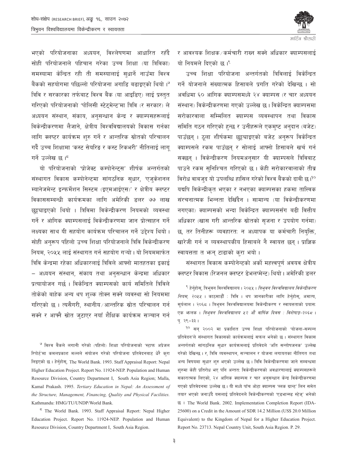भएको परियोजनाका अध्ययन, विश्लेषणमा आधारित रहँदै सोही परियोजनाले पहिचान गरेका उच्च शिक्षा (या त्रिविका) समस्यामा केन्द्रित रही ती समस्यालाई सुधार्ने नाउँमा विश्व बैंकको सहयोगमा पछिल्लो परियोजना अगाडि बढाइएको थियो । त्रिवि र सरकारका तर्फबाट विश्व बैंक (या आइडिए) लाई प्रस्तुत गरिएको परियोजनाको 'पोलिसी स्टेटमेन्ट'मा त्रिवि (र सरकार) ले अध्ययन संस्थान, संकाय, अनुसन्धान केन्द्र र क्याम्पसहरूलाई विकेन्द्रीकरणमा लैजाने, क्षेत्रीय विश्वविद्यालयको विकास गर्नका लागि क्लष्टर कार्यक्रम शुरु गर्ने र आन्तरिक स्रोतको परिचालन गर्दै उच्च शिक्षामा 'कस्ट सेयरिङ र कस्ट रिकभरी' नीतिलाई लाग् गर्ने उल्लेख छ।<sup>5</sup>

यो परियोजनाको 'प्रोजेक्ट कम्पोनेन्ट्स' शीर्षक अन्तर्गतको संस्थागत विकास कम्पोनेन्टमा सांगठनिक सधार, 'एजकेशनल म्यानेजमेन्ट इन्फर्मेशन सिस्टम (इएमआईएस)' र क्षेत्रीय क्लष्टर विकाससम्बन्धी कार्यक्रमका लागि अमेरिकी डलर ७७ लाख छुट्ट्याइएको थियो । त्रिविमा विकेन्द्रीकरण नियमको व्यवस्था गर्ने र आंगिक क्याम्पसलाई विकेन्द्रीकरणमा जान प्रोत्साहन गर्ने लक्ष्यका साथ यी सहयोग कार्यक्रम परिचालन गर्ने उद्देश्य थियो । सोही अनुरूप पहिलो उच्च शिक्षा परियोजनाले त्रिवि विकेन्द्रीकरण नियम, २०५५ लाई संस्थागत गर्न सहयोग गऱ्यो । यो नियममार्फत त्रिवि केन्द्रमा रहेका अधिकारलाई त्रिविले आफ्नो मातहतका इकाई – अध्ययन संस्थान, संकाय तथा अनसन्धान केन्द्रमा अधिकार प्रत्यायोजन गर्छ। विकेन्द्रित क्याम्पसको कार्य समितिले त्रिविले तोकेको बाहेक अन्य थप शुल्क तोक्न सक्ने व्यवस्था सो नियममा गरिएको छ । त्यसैगरी, स्थानीय ∕आन्तरिक स्रोत परिचालन गर्न सक्ने र आफ्नै स्रोत जटाएर नयाँ शैक्षिक कार्यक्रम सञ्चान गर्न

<sup>७</sup> विश्व बैंकले लगानी गरेको (पहिलो) शिक्षा परियोजनाको 'स्टाफ अप्रेजल रिपोर्ट'मा कमलप्रकाश मल्लले संयोजन गरेको परियोजना प्रतिवेदनबाट धेरै करा लिइएको छ। हेर्नुहोस्, The World Bank. 1993. Staff Appraisal Report: Nepal Higher Education Project. Report No. 11924-NEP. Population and Human Resource Division, Country Department I, South Asia Region; Malla, Kamal Prakash. 1995. Tertiary Education in Nepal: An Assessment of the Structure, Management, Financing, Quality and Physical Facilities. Kathmandu: HMG/TU/UNDP/World Bank.

<sup>5</sup> The World Bank. 1993. Staff Appraisal Report: Nepal Higher Education Project. Report No. 11924-NEP. Population and Human Resource Division, Country Department I, South Asia Region.



र आवश्यक शिक्षक/कर्मचारी राख्न सक्ने अधिकार क्याम्पसलाई यो नियमले दिएको छ। ९

उच्च शिक्षा परियोजना अन्तर्गतको त्रिविलाई विकेन्द्रित गर्ने योजनाले संख्यात्मक हिसाबले प्रगति गरेको देखिन्छ । सो अवधिमा ६० आंगिक क्याम्पसमध्ये २४ क्याम्पस (र चार अध्ययन संस्थान) विकेन्द्रीकरणमा गएको उल्लेख छ। विकेन्द्रित क्याम्पसमा सरोकारवाला सम्मिलित क्याम्पस व्यवस्थापन तथा विकास समिति गठन गरिएको हुन्छ र उनीहरूले एकमष्ट अनुदान (बजेट) पाउँछन् । ठला शीर्षकमा छट्ट्याइएको बजेट अनुरूप विकेन्द्रित क्याम्पसले रकम पाउँछन् र सोलाई आफ्नो हिसाबले खर्च गर्न सक्छन । विकेन्द्रीकरण नियमअनसार यी क्याम्पसले त्रिविबाट पाउने रकम सुनिश्चित गरिएको छ। केही सरोकारवालाको तीव्र विरोध वाबजद यो उपलब्धि हासिल गरेको विश्व बैंकको दावी छ।<sup>10</sup> यद्यपि विकेन्द्रीकृत भएका र नभएका क्याम्पसका हकमा तात्त्विक संरचनात्मक भिन्नता देखिँदैन । सामान्य (या विकेन्द्रीकरणमा नगएका) क्याम्पसको भन्दा विकेन्द्रित क्याम्पससँग बढी वित्तीय अधिकार (खास गरी आन्तरिक स्रोतको सजना र उपयोग गर्नमा) छ, तर तिनीहरू व्यवहारत: न अध्यापक या कर्मचारी नियक्ति, खारेजी गर्न न व्यवस्थापकीय हिसाबले नै स्वायत्त छन् । प्राज्ञिक स्वायत्तता त भन्न टाढाको करा भयो।

संस्थागत विकास कम्पोनेन्टको अर्को महत्त्वपूर्ण अवयव क्षेत्रीय क्लष्टर विकास (रिजनल क्लष्टर डेभलप्मेन्ट) थियो । अमेरिकी डलर

<sup>९</sup> हेर्नुहोस्, त्रिभ्**वन विश्वविद्यालय । २**०५५ । *त्रिभुवन विश्वविद्यालय विकेन्द्रीकरण नियम, २०५५* । काठमाडौँ : त्रिवि । थप जानकारीका लागि हेर्नुहोस्, अमात्य, सूर्यलाल । २०६८ । त्रिभुवन विश्वविद्यालयमा विकेन्द्रीकरण र स्वायत्तताको प्रयास: एक भालक । *त्रिभुवन विश्वविद्यालय ५२ औं वार्षिक दिवस : विशेषाङ्क-२०६८* । पू. २९-३३ ।

<sup>१०</sup> सन २००२ मा प्रकाशित उच्च शिक्षा परियोजनाको 'योजना-सम्पन्न प्रतिवेदन'ले संस्थागत विकासको कार्यक्रमलाई सफल भनेको छ । संस्थागत विकास अन्तर्गतको सांगठनिक सुधार कार्यक्रमलाई प्रतिवेदले 'अति सन्तोषजनक' उल्लेख गरेको देखिन्छ । र, त्रिवि व्यवस्थापन, सञ्चालन र योजना लगायतका नीतिगत तथा अन्य विषयमा सुधार शुरु भएको उल्लेख छ । त्रिवि विकेन्द्रीकरणमा जाने सम्बन्धमा शुरुमा केही प्रतिरोध भए पनि अन्तत: विकेन्द्रीकरणको अवधारणालाई क्याम्पसहरूले सकारात्मक लिएको, २४ आंगिक क्याम्पस र चार अनुसन्धान केन्द्र विकेन्द्रीकरणमा गएको प्रतिवेदनमा उल्लेख छ। यी मध्ये पाँच ओटा क्याम्पस 'ब्लक ग्रान्ट' लिन समेत तयार भएको जनाउँदै यसलाई प्रतिवेदनले विकेन्द्रीकरणको 'एडभान्स्ड स्टेज्' भनेको छ । The World Bank. 2002. Implementation Completion Report (IDA-25600) on a Credit in the Amount of SDR 14.2 Million (US\$ 20.0 Million Equivalent) to the Kingdom of Nepal for a Higher Education Project. Report No. 23713. Nepal Country Unit, South Asia Region. P. 29.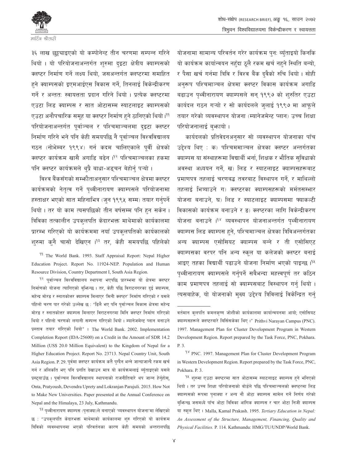

३६ लाख छट्ट्याइएको यो कम्पोनेन्ट तीन चरणमा सम्पन्न गरिने थियो । यो परियोजनाअन्तर्गत शुरुमा दइटा क्षेत्रीय क्याम्पसको क्लष्टर निर्माण गर्ने लक्ष्य थियो, जसअन्तर्गत क्लष्टरमा समाहित हुने क्याम्पसको इएमआईएस विकास गर्ने. तिनलाई विकेन्द्रीकरण गर्ने र अन्ततः स्वायत्तता प्रदान गरिने थियो । प्रत्येक क्लष्टरमा एउटा लिंड क्याम्पस र सात ओटासम्म स्याटलाइट क्याम्पसको एउटा अनौपचारिक समुह या क्लष्टर निर्माण हुने ठानिएको थियो।<sup>99</sup> परियोजनाअन्तर्गत पर्वाञ्चल र पश्चिमाञ्चलमा दइटा क्लष्टर निर्माण गरिने भने पनि केही समयपछि नै पुर्वाञ्चल विश्वविद्यालय गठन (नोभेम्बर १९९४) गर्न कदम चालिएकाले पूर्वी क्षेत्रको क्लष्टर कार्यक्रम खासै अगाडि बढेन ।<sup>१२</sup> पश्चिमाञ्चलका हकमा पनि क्लष्टर कार्यक्रमले थप्रै बाधा-अडचन बेहोर्न पऱ्यो ।

विश्व बैंकसँगको सम्भ्कौताअनुसार पश्चिमाञ्चल क्षेत्रमा क्लष्टर कार्यक्रमको नेतृत्व गर्ने पृथ्वीनारायण क्याम्पसले परियोजनामा हस्ताक्षर भएको सात महिनाभित्र (जन १९९५ सम्म) तयार गर्नुपर्ने थियो। तर यो काम त्यसपछिको तीन वर्षसम्म पनि हुन सकेन। त्रिविका तत्कालीन उपकुलपति केदारभक्त माथेमाको कार्यकालमा प्रारम्भ गरिएको यो कार्यक्रममा नयाँ उपकलपतिको कार्यकालको शुरुमा कुनै चासो देखिएन ।<sup>१३</sup> तर, केही समयपछि पहिलेको

<sup>99</sup> The World Bank. 1993. Staff Appraisal Report: Nepal Higher Education Project. Report No. 11924-NEP. Population and Human Resource Division, Country Department I, South Asia Region.

<sup>१२</sup> पूर्वाञ्चल विश्वविद्यालय स्थापना भएपछि प्रारम्भमा यो क्षेत्रमा क्लष्टर निर्माणको योजना त्यागिएको बुफिन्छ । तर, केही पछि विराटनगरका दुई क्याम्पस, महेन्द्र मोरङ र स्नातकोत्तर क्याम्पस मिलाएर 'मिनी क्लष्टर' निर्माण गरिएको र यसले पहिलो चरण पार गरेको उल्लेख छ : "ढिलै भए पनि पुर्वाञ्चल विकास क्षेत्रमा महेन्द्र मोरङ र स्नातकोत्तर क्याम्पस मिलाएर विराटनगरमा मिनि क्लष्टर निर्माण गरिएको थियो र पहिलो चरणको लगानी सम्पन्न गरिएको थियो। म्यानेजमेन्ट प्लान बनाउने प्रस्ताव तयार गरिएको थियो"। The World Bank. 2002. Implementation Completion Report (IDA-25600) on a Credit in the Amount of SDR 14.2 Million (US\$ 20.0 Million Equivalent) to the Kingdom of Nepal for a Higher Education Project. Report No. 23713. Nepal Country Unit, South Asia Region. P. 29. पूर्वमा क्लष्टर कार्यक्रम कतै पुग्दैन भन्ने जान्दाजान्दै रकम खर्च गर्न र अलिकति भए पनि प्रगति देखाउन मात्र यो कार्यक्रमलाई ब्युँताइएको यसले प्रस्टयाउँछ । पुर्वाञ्चल विश्वविद्यालय स्थापनाको राजनीतिबारे थप जान्न हेर्नुहोस्, Onta, Pratyoush, Devendra Uprety and Lokranjan Parajuli. 2015. How Not to Make New Universities. Paper presented at the Annual Conference on Nepal and the Himalaya, 23 July, Kathmandu.

<sup>9३</sup> पृथ्वीनारायण क्याम्पस (पृनाक्या)ले बनाएको 'व्यवस्थापन योजना'मा लेखिएको छ : "उपकलपति केदारभक्त माथेमाको कार्यकालमा शुरु गरिएको यो कार्यक्रम त्रिविको व्यवस्थापनमा भएको परिवर्तनका कारण केही समयको अन्तरालपछि योजनामा सामान्य परिवर्तन गरेर कार्यक्रम पन: ब्यँताइयो किनकि यो कार्यक्रम कार्यान्वयन नहँदा ठलै रकम खर्च नहने स्थिति बन्यो, र पैसा खर्च गर्नमा त्रिवि र विश्व बैंक दवैको रुचि थियो । सोही अनुरूप पश्चिमाञ्चल क्षेत्रमा क्लष्टर विकास कार्यक्रम अगाडि बढाउन पथ्वीनारायण क्याम्पसले सन् १९९७ को शुरुतिर एउटा कार्यदल गठन गऱ्यो र सो कार्यदलले जुलाई १९९७ मा आफुले तयार गरेको व्यवस्थापन योजना (म्यानेजमेन्ट प्लान) उच्च शिक्षा परियोजनालाई बकायो।

कार्यदलको प्रतिवेदनअनुसार सो व्यवस्थापन योजनाका पाँच उद्देश्य थिए : क) पश्चिममाञ्चल क्षेत्रका क्लष्टर अन्तर्गतका क्याम्पस या संस्थाहरूमा विद्यार्थी भर्ना, शिक्षक र भौतिक सुविधाको अवस्था अध्ययन गर्ने, ख) लिड र स्याटलाइट क्याम्पसहरूबाट प्रमाणपत्र तहलाई चरणबद्ध तवरबाट विस्थापन गर्ने, र माथिल्लो तहलाई भित्र्याउने ग) क्लष्टरका क्याम्पसहरूको मर्मतसम्भार योजना बनाउने, घ) लिड र स्याटलाइट क्याम्पसमा फ्याकल्टी विकासको कार्यक्रम बनाउने र ङ) क्लष्टरका लागि विकेन्द्रीकरण योजना बनाउने ।<sup>१४</sup> व्यवस्थापन योजनाअन्तर्गत पथ्वीनारायण क्याम्पस लिड क्याम्पस हुने, पश्चिमाञ्चल क्षेत्रका त्रिविअन्तर्गतका अन्य क्याम्पस एसोसियट क्याम्पस बन्ने र ती एसोसिएट क्याम्पसका वरपर पनि अन्य स्कल या कलेजको क्लष्टर बनाई आइए तहका विद्यार्थी पढाउने योजना निर्माण भएको पाइन्छ ।<sup>१५</sup> पथ्वीनारायण क्याम्पसले गर्नुपर्ने सबैभन्दा महत्त्वपूर्ण तर कठिन काम प्रमाणपत्र तहलाई सो क्याम्पसबाट विस्थापन गर्न थियो । त्यसबाहेक, यो योजनाको मुख्य उद्देश्य त्रिविलाई विकेन्द्रित गर्न

वर्तमान कुलपति कमलकृष्ण जोशीको कार्यकालमा कार्यान्वयनमा आयो; एसोसियट क्याम्पसहरूले क्लष्टरबारे बिर्सिसकेका थिए ।" Prithvi Narayan Campus (PNC). 1997. Management Plan for Cluster Development Program in Western Development Region. Report prepared by the Task Force, PNC, Pokhara. P. 3.

<sup>&</sup>lt;sup>9</sup><sup>8</sup> PNC. 1997. Management Plan for Cluster Development Program in Western Development Region. Report prepared by the Task Force, PNC, Pokhara. P. 3.

<sup>&</sup>lt;sup>१५</sup> शुरुमा एउटा क्लप्टरमा सात ओटासम्म स्याटलाइट क्याम्पस हुने भनिएको थियो । तर उच्च शिक्षा परियोजनाको बोर्डले पछि पश्चिमाञ्चलको क्लष्टरमा लिड क्याम्पसको रूपमा पुनाक्या र अन्य नौ ओटा क्याम्पस सामेल गर्ने निर्णय गरेको बुफिन्छ जसमध्ये पाँच ओटा त्रिविका आंगिक क्याम्पस र चार ओटा निजी क्याम्पस या स्कूल थिए। Malla, Kamal Prakash. 1995. Tertiary Education in Nepal: An Assessment of the Structure, Management, Financing, Quality and Physical Facilities. P. 114. Kathmandu: HMG/TU/UNDP/World Bank.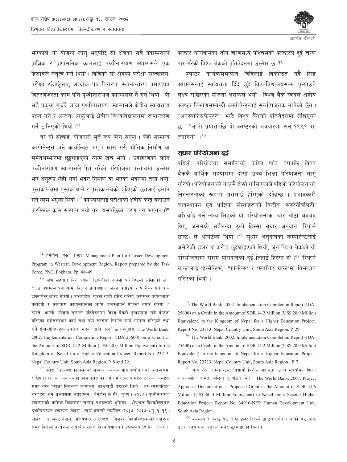

भएकाले यो योजना लाग भएपछि सो क्षेत्रका सबै क्याम्पसका प्राज्ञिक र प्रशासनिक कामलाई पथ्वीनारायण क्याम्पसले एक हिसाबले नेतत्व गर्ने थियो । त्रिविको सो क्षेत्रको परीक्षा सञ्चालन, परीक्षा रजिष्टेसन, लब्धांक पत्र वितरण, स्थानान्तरण प्रमाणपत्र वितरणजस्ता काम पनि पथ्वीनारायण क्याम्पसले नै गर्ने थियो। यी सबै प्रकया गज़ँदै जाँदा पथ्वीनारायण क्याम्पसले क्षेत्रीय स्वायत्तता प्राप्त गर्ने र अन्ततः आफलाई क्षेत्रीय विश्वविद्यालयमा रूपान्तरण गर्ने ठानिएको थियो ।<sup>१६</sup>

तर यो सोचाई, योजनाले मूर्त रूप लिन सकेन । केही सामान्य कम्पोनेन्टस भने कार्यान्वित भए । खास गरी भौतिक निर्माण या मर्मतसम्भारमा छुट्ट्याइएको रकम खर्च भयो । उदाहरणका लागि पथ्वीनारायण क्याम्पसले पेश गरेको परियोजना प्रस्तावमा उल्लेख भए अनुरूप केही नयाँ भवन निर्माण वा भएका भवनमा तला थप्ने, पुस्तकालयमा पुस्तक थप्ने र पुस्तकालयको च्हिएको छतलाई ढलान गर्ने काम भएको थियो।<sup>9७</sup> क्याम्पसलाई परीक्षाको क्षेत्रीय केन्द्र बनाउने प्रारम्भिक काम सम्पन्न भयो तर त्यसपछिका चरण पुरा भएनन् ।<sup>१८</sup>

<sup>9६</sup> हेर्नुहोस् PNC. 1997. Management Plan for Cluster Development Program in Western Development Region. Report prepared by the Task Force, PNC, Pokhara. Pp. 48-49.

<sup>१७</sup> ऋण सहयोग लिने पक्षको टिप्पणीको रूपमा परिशिष्टमा लेखिएको छ : "लिड क्याम्पस पुनाक्यामा विज्ञान प्रगोगशाला भवन बनाइयो र फर्निचर एवं अन्य इक्विप्मेन्ट खरिद गरियो । त्यसबाहेक, एउटा गाडी खरिद गरियो, कम्प्युटर प्रयोगशाला बनाइयो र कार्यक्रम कार्यान्वयनका लागि व्यवस्थापन योजना तयार गरियो ।" त्यस्तै, आफ्नो 'योजना-सम्पन्न प्रतिवेदन'मा विश्व बैंकले पनाक्यामा सबै योजना गरिएका मर्मतसम्भार कार्य तथा नयाँ संरचना निर्माण कार्य सम्पन्न गरिएको तथा सबै सेवा-सविधाहरू उपलब्ध भएको दावी गरेको छ। हेर्नुहोस, The World Bank. 2002. Implementation Completion Report (IDA-25600) on a Credit in the Amount of SDR 14.2 Million (US\$ 20.0 Million Equivalent) to the Kingdom of Nepal for a Higher Education Project. Report No. 23713. Nepal Country Unit, South Asia Region. P. 8 and 29.

<sup>१८</sup> परीक्षा नियन्त्रण कार्यालयको सम्पर्क कार्यालय मात्र पृथ्वीनारायण क्याम्पसमा राखिएको हो। यो कार्यालयको काम परीक्षाका लागि भरिएका फर्महरू र अन्य कामहरू संग्रह गरेर परीक्षा नियन्त्रण कार्यालय, काठमाडौं पठाउने थियो । तर त्यसपछिका चरणहरू भने अभ्यासमा ल्याइएनन् । हेर्नुहोस् के.सी., कृष्ण । २०६७ । पृथ्वीनारायण क्याम्पसको क्रमिक विकासमा सम्बद्ध पक्षहरूको भूमिका । *त्रिभुवन विश्वविद्यालय*, पृथ्वीनारायण क्याम्पस पोखरा : स्वर्ण जयन्ती स्मारिका (२०१७–२०६७)। पु. १–१९ । पोखरा : पुनाक्या; नेपाल, नारायणदत्त । २०५८ । त्रिभुवन विश्वविद्यालयको क्याम्पस समूह विकास कार्यक्रम र पृथ्वीनारायण विश्वविद्यालय । *प्राज्ञमञ्च* १५(६) : १–४ ।

क्लष्टर कार्यक्रमका तीन चरणमध्ये पश्चिमको क्लष्टरले दई चरण पार गरेको विश्व बैंकको प्रतिवेदनमा उल्लेख छ ।<sup>१९</sup>

क्लष्टर कार्यक्रममार्फत त्रिविलाई विकेन्द्रित गर्दै लिड क्याम्पसलाई स्वायत्तता दिँदै छट्टै विश्वविद्यालयसम्म पऱ्याउने लक्ष्य राखिएको योजना असफल भयो। विश्व बैंक स्वयंले क्षेत्रीय क्लष्टर निर्माणसम्बन्धी कम्पोनेन्टलाई सन्तोषजनक मानेको छैन । "अनस्याटिसफेक्टरी" भन्दै विश्व बैंकको प्रतिवेदनमा लेखिएको छः "लामो प्रयासपछि यो क्लष्टरको अवधारणा सन १९९९ मा त्यागियो"।<sup>२०</sup>

#### सुधार परियोजना दुई

पहिलो परियोजना समाप्तिको करिब पाँच वर्षपछि विश्व बैंककै आर्थिक सहयोगमा दोस्रो उच्च शिक्षा परियोजना लाग गरियो। परियोजनाको नाउँमै दोस्रो गाँसिएकाले पहिलो परियोजनाको निरन्तरताको रूपमा यसलाई हेरिएको देखिन्छ । प्रभावकारी व्यवस्थापन एवं प्राज्ञिक संस्थाहरूको वित्तीय 'सस्टेनेबिलिटी' अभिवद्धि गर्ने लक्ष्य लिएको यो परियोजनाका चार ओटा अवयव थिए, जसमध्ये सबैभन्दा ठलो हिस्सा सधार अनुदान (रिफर्म ग्रान्ट) ले ओगटेको थियो ।<sup>२१</sup> सुधार अनुदानको कम्पोनेन्टलाई अमेरिकी डलर ४ करोड छट्ट्याइएको थियो, जन विश्व बैंकको यो परियोजनामा समग्र योगदानको दई तिहाई हिस्सा हो ।<sup>२२</sup> 'रिफर्म ग्रान्ट'लाई 'इन्सेन्टिभ,' 'पर्फर्मेन्स' र 'म्याचिङ ग्रान्ट'मा विभाजन गरिएको थियो ।

<sup>98</sup> The World Bank. 2002. Implementation Completion Report (IDA-25600) on a Credit in the Amount of SDR 14.2 Million (US\$ 20.0 Million Equivalent) to the Kingdom of Nepal for a Higher Education Project. Report No. 23713. Nepal Country Unit, South Asia Region. P. 29.

<sup>20</sup> The World Bank. 2002. Implementation Completion Report (IDA-25600) on a Credit in the Amount of SDR 14.2 Million (US\$ 20.0 Million Equivalent) to the Kingdom of Nepal for a Higher Education Project. Report No. 23713. Nepal Country Unit, South Asia Region. P. 7.

<sup>२१</sup> अन्य तीन कम्पोनेन्टमा विद्यार्थी वित्तीय सहायता, उच्च माध्यमिक शिक्षा र प्रणालीको क्षमता बलियो तुल्याउने थिए । The World Bank. 2007. Project Appraisal Document on a Proposed Grant in the Amount of SDR 41.6 Million (US\$ 60.0 Million Equivalent) to Nepal for a Second Higher Education Project. Report No. 34916-NEP. Human Development Unit, South Asia Region.

<sup>२२</sup> यसमध्ये ३ करोड ५५ लाख डलर रिफर्म ग्रान्टअन्तर्गत र बाँकी ४५ लाख डलर अनसन्धान अनुदान भनेर छट्ट्याइएको थियो।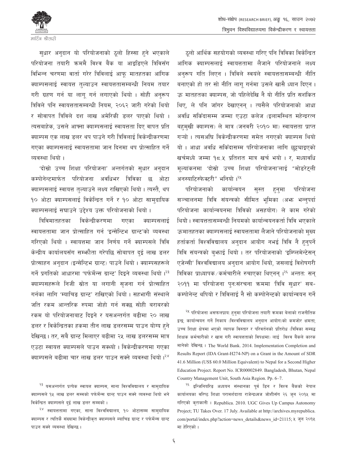

सुधार अनुदान यो परियोजनाको ठुलो हिस्सा हुने भएकाले परियोजना तयारी क्रममै विश्व बैंक या आइडिएले त्रिविसँग विभिन्न चरणमा वार्ता गरेर त्रिविलाई आफू मातहतका आंगिक क्याम्पसलाई स्वायत्त तल्याउन स्वायत्ततासम्बन्धी नियम तयार गरी ग्रहण गर्न या लाग गर्न लगाएको थियो । सोही अनुरूप त्रिविले पनि स्वायत्ततासम्बन्धी नियम, २०६२ जारी गरेको थियो र सोवापत त्रिविले दश लाख अमेरिकी डलर पाएको थियो । त्यसबाहेक, उसले आफ्ना क्याम्पसलाई स्वायत्तता दिए वापत प्रति क्याम्पस एक लाख डलर थप पाउने गरी त्रिविलाई विकेन्द्रीकरणमा गएका क्याम्पसलाई स्वायत्ततामा जान दिनमा थप प्रोत्साहित गर्ने व्यवस्था थियो ।

'दोस्रो उच्च शिक्षा परियोजना' अन्तर्गतको सुधार अनुदान कम्पोनेन्टमार्फत परियोजना अवधिभर त्रिविका छ ओटा क्याम्पसलाई स्वायत्त तुल्याउने लक्ष्य राखिएको थियो। त्यस्तै, थप १० ओटा क्याम्पसलाई विकेन्द्रित गर्ने र १० ओटा सामदायिक क्याम्पसलाई सघाउने उद्देश्य उक्त परियोजनाको थियो ।

त्रिविमातहतका विकेन्द्रीकरणमा गएका क्याम्पसलाई स्वायत्ततामा जान प्रोत्साहित गर्न 'इन्सेन्टिभ ग्रान्ट'को व्यवस्था गरिएको थियो । स्वायत्तमा जान निर्णय गर्ने क्याम्पसले त्रिवि केन्द्रीय कार्यालयसँग सम्फौता गरेपछि सोबापत दई लाख डलर प्रोत्साहन अनुदान (इन्सेन्टिभ ग्रान्ट) पाउने थियो। क्याम्पसहरूले गर्ने प्रगतिको आधारमा 'पर्फर्मेन्स ग्रान्ट' दिइने व्यवस्था थियो ।<sup>२३</sup> क्याम्पसहरूले निजी स्रोत या लगानी सजना गर्न प्रोत्साहित गर्नका लागि 'म्याचिड ग्रान्ट' राखिएको थियो। सहभागी संस्थाले जति रकम आन्तरिक रुपमा जोहो गर्न सक्छ सोही बराबरको रकम यो परियोजनाबाट दिइने र यसअन्तर्गत बढीमा २० लाख डलर र विकेन्द्रितका हकमा तीन लाख डलरसम्म पाउन योग्य हने देखिन्छ । तर, सबै ग्रान्ट मिलाएर बढीमा २५ लाख डलरसम्म मात्र एउटा स्वायत्त क्याम्पसले पाउन सक्थ्यो । विकेन्द्रीकरणमा गएका क्याम्पसले बढीमा चार लाख डलर पाउन सक्ने व्यवस्था थियो।<sup>२४</sup>

<sup>२३</sup> यसअन्तर्गत प्रत्येक स्वायत्त क्याम्पस, साना विश्वविद्यालय र सामुदायिक क्याम्पसले १५ लाख डलर सम्मको पर्फर्मेन्स ग्रान्ट पाउन सक्ने व्यवस्था थियो भने विकेन्द्रित क्याम्पसले दई लाख डलर सम्मको ।

<sup>२४</sup> स्वायत्ततामा गएका, साना विश्वविद्यालय, १० ओटासम्म सामुदायिक क्याम्पस र त्यतिकै संख्यामा विकेन्द्रीकृत क्याम्पसले म्याचिड ग्रान्ट र पर्फर्मेन्स ग्रान्ट पाउन सक्ने व्यवस्था देखिन्छ ।

ठलो आर्थिक सहयोगको व्यवस्था गरिए पनि त्रिविका विकेन्द्रित आंगिक क्याम्पसलाई स्वायत्ततामा लैजाने परियोजनाले लक्ष्य अनरूप गति लिएन । त्रिविले स्वयंले स्वायत्ततासम्बन्धी नीति बनाएको हो तर सो नीति लाग गर्नमा उसले खासै ध्यान दिएन। ऊ मातहतका क्याम्पस, जो पहिलेदेखि नै यो नीति प्रति सशंकित थिए, ले पनि जाँगर देखाएनन् । त्यसैले परियोजनाको आधा अवधि सकिँदासम्म जम्मा एउटा कलेज (इलामस्थित महेन्द्ररत्न बहुमुखी क्याम्पस) ले मात्र (जनवरी २०१० मा) स्वायत्तता प्राप्त गऱ्यो । त्यसअघि विकेन्द्रीकरणमा समेत नगएको क्याम्पस थियो यो । आधा अवधि सकिँदासम्म परियोजनाका लागि छट्टचाइएको खर्चमध्ये जम्मा १८.५ प्रतिशत मात्र खर्च भयो । र, मध्यावधि मुल्यांकनमा 'दोस्रो उच्च शिक्षा परियोजना'लाई "मोडरेटली अनस्याटिस्फेक्टरी" भनियो ।<sup>२५</sup>

परियोजनाको कार्यान्वयन सस्त हन्मा परियोजना सञ्चालनमा त्रिवि संयन्त्रको सीमित भूमिका (अफ़ भन्नुपर्दा परियोजना कार्यान्वयनमा त्रिविको असहयोग) ले काम गरेको थियो । स्वायत्ततासम्बन्धी नियमको कार्यान्वयनकर्ता त्रिवि भएकाले ऊमातहतका क्याम्पसलाई स्वायत्ततामा लैजाने परियोजनाको मुख्य हर्ताकर्ता विश्वविद्यालय अनुदान आयोग नभई त्रिवि नै हुनुपर्ने त्रिवि संयन्त्रको बुफाई थियो । तर परियोजनाको 'इम्प्लिमेन्टेसन् एजेन्सी' विश्वविद्यालय अनुदान आयोग थियो, जसलाई विशेषगरी त्रिविका प्राध्यापक ∕ कर्मचारीले रुचाएका थिएनन् ।<sup>२६</sup> अन्तत: सन् २०११ मा परियोजना पन:संरचना क्रममा 'त्रिवि सधार' सब-कम्पोनेन्ट थपियो र त्रिविलाई नै सो कम्पोनेन्टको कार्यान्वयन गर्ने

<sup>२५</sup> परियोजना असफलप्रायः हन्**मा परियोजना तयारी क्रमका बेलाको राजनीति**क द्वन्द्व; कार्यान्वयन गर्ने निकाय (विश्वविद्यालय अनुदान आयोग)को कमजोर क्षमता; उच्च शिक्षा क्षेत्रमा भएको व्यापक विस्तार र परिवर्तनको प्रतिरोध (त्रिविका सम्बद्ध शिक्षक कर्मचारीको र खास गरी स्वायत्तताको विपक्षमा) लाई विश्व बैंकले कारक मानेको देखिन्छ । The World Bank. 2014. Implementation Completion and Results Report (IDA Grant-H274-NP) on a Grant in the Amount of SDR 41.6 Million (US\$ 60.0 Million Equivalent) to Nepal for a Second Higher Education Project. Report No. ICR00002849. Bangladesh, Bhutan, Nepal Country Management Unit, South Asia Region. Pp. 6-7.

<sup>२६</sup> इन्जिनियरिङ अध्ययन संस्थानका पूर्व डिन र विश्व बैंकको नेपाल कार्यालयका वरिष्ठ शिक्षा परामर्शदाता राजेन्द्रध्वज जोशीसँग २६ जुन २०१५ मा गरिएको कुराकानी । Republica. 2010. UGC Gives Up Campus Autonomy Project; TU Takes Over. 17 July. Available at http://archives.myrepublica. com/portal/index.php?action=news\_details&news\_id=21115; ५ जुन २०१५ मा हेरिएको ।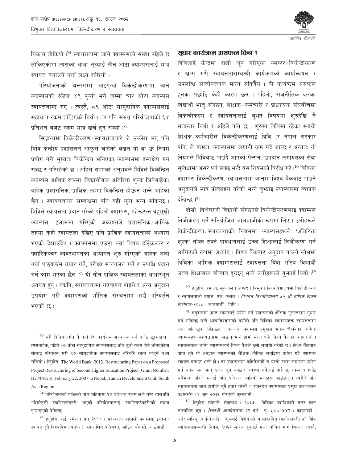

निकाय तोकियो ।<sup>२७</sup> स्वायत्ततामा जाने क्याम्पसको संख्या पहिले छ तोकिएकोमा त्यसको आधा तुल्याई तीन ओटा क्याम्पसलाई मात्र स्वायत्त बनाउने नयाँ लक्ष्य राखियो।

परियोजनाको अन्तसम्म आइपुग्दा विकेन्द्रीकरणमा जाने क्याम्पसको संख्या ४९ पुग्यो भने जम्मा चार ओटा क्याम्पस स्वायत्ततामा गए । त्यस्तै, ८९ ओटा सामुदायिक क्याम्पसलाई सहायता रकम बाँडिएको थियो। तर पनि समग्र परियोजनाको ६४ प्रतिशत बजेट रकम मात्र खर्च हुन सक्यो ।<sup>२८</sup>

सिद्धान्तमा विकेन्द्रीकरण / स्वायत्तताबारे जे उल्लेख भए पनि त्रिवि केन्द्रीय प्रशासनले आफुले चाहेको बखत यो वा ऊ नियम प्रयोग गरी मुख्यतः विकेन्द्रित भनिएका क्याम्पसमा हस्तक्षेप गर्न सक्छ र गरिरहेको छ। अहिले सम्मको अनुभवले त्रिविले विकेन्द्रित क्याम्पस आर्थिक रूपमा (विद्यार्थीबाट अतिरिक्त शुल्क लिनेबाहेक) बाहेक प्रशासनिक/प्राज्ञिक तहमा विकेन्द्रित होऊन् भन्ने चाहेको छैन । स्वायत्तताका सम्बन्धमा पनि यही करा भन्न सकिन्छ । त्रिविले स्वायत्तता प्रदान गरेको पहिलो क्याम्पस, महेन्द्ररत्न बहुमुखी क्याम्पस, इलाममा गरिएको अध्ययनले प्रशासनिक⁄आर्थिक तहमा केही स्वायत्तता देखिए पनि प्राज्ञिक स्वायत्तताको अभ्यास भएको देखाउँदैन् । क्याम्पसमा एउटा नयाँ विषय हर्टिकल्चर र फ्लोरिकल्चर व्यवस्थापनको अध्यापन शुरु गरिएको बाहेक अन्य नयाँ पाठ्यक्रम तयार गर्ने, परीक्षा सञ्चालन गर्ने र उपाधि प्रदान गर्ने काम भएको छैन।<sup>२९</sup> यी तीन प्राज्ञिक स्वायत्तताका आधारभूत अवयव हुन् । यद्यपि, स्वायत्ततामा गएबापत पाइने र अन्य अनुदान उपयोग गरी क्याम्पसको भौतिक संरचनामा राम्रै परिवर्तन भएको छ ।

<sup>२७</sup> सँगै त्रिविअन्तर्गत नै नयाँ २० कार्यक्रम सञ्चालन गर्न बजेट छुट्टचाइयो । त्यसबाहेक, पहिले १० ओटा सामुदायिक क्याम्पसलाई अलि ठूलो रकम दिने भनिएकोमा सोलाई परिवर्तन गरी ९० सामुदायिक क्याम्पसलाई थोरैथोरै रकम बाँड्ने लक्ष्य राखियो। हेर्नुहोस्, The World Bank. 2012. Restructuring Paper on a Proposed Project Restructuring of Second Higher Education Project (Grant Number: H274-Nep), February 22, 2007 to Nepal. Human Development Unit, South Asia Region.

<sup>२८</sup> परियोजनाको पछिल्लो पाँच महिनामा १४ प्रतिशत रकम खर्च गरेर त्यसअघि 'मोडरेट्ली स्याटिसफेक्टरी' भएको परियोजनालाई 'स्याटिसफेक्टरी'को तहमा प्ऱ्याइएको देखिन्छ।

<sup>२९</sup> हेर्नुहोस्, राई, रमेश । सन् २०१४ । महेन्द्ररत्न बहुमुखी क्याम्पस, इलाम : स्वायत्त हुँदै विश्वविद्यालयतर्फ ? अप्रकाशित प्रतिवेदन, मार्टिन चौतारी, काठमाडौँ ।

#### सुधार कार्यजनम असफल किन ?

त्रिविलाई केन्द्रमा राखी शुरु गरिएका क्लष्टर ∕विकेन्द्रीकरण र खास गरी स्वायत्ततासम्बन्धी कार्यक्रमको कार्यान्वयन र उपलब्धि सन्तोषजनक मान्न सकिँदैन । यी कार्यक्रम असफल हन्का पछाडि केही कारण छन् । पहिलो, राजनीतिक दलका विद्यार्थी भातृ संगठन, शिक्षक ∕ कर्मचारी र प्राध्यापक संघबीचमा विकेन्द्रीकरण र स्वायत्ततालाई ब्भने विषयमा शुरुदेखि नै मतान्तर थियो र अहिले पनि छ। शुरुमा त्रिविमा रहेका स्थायी शिक्षक ⁄ कर्मचारीले विकेन्द्रीकरणलाई त्रिवि (र नेपाल सरकार पनि) ले क्रमश: क्याम्पसमा लगानी कम गर्दे जान्छ र अन्तत: यो नियमले त्रिविबाट पाउँदै आएको पेन्सन ⁄ उपदान लगायतका सेवा सुविधामा असर पर्न सक्छ भन्दै यस नियमको विरोध गरे।<sup>३०</sup> त्रिविका क्याम्पस विकेन्द्रीकरण ∕ स्वायत्ततामा जानुमा विश्व बैंकबाट पाउने अनुदानले मात्र प्रोत्साहन गरेको भन्ने बुभ्राई क्याम्पसमा व्यापक देखिन्छ।<sup>३१</sup>

दोस्रो, विशेषगरी विद्यार्थी संगठनले विकेन्द्रीकरणलाई क्याम्पस निजीकरण गर्ने सुनियोजित चालबाजीको रूपमा लिए । उनीहरूले विकेन्द्रीकरण / स्वायत्तताको नियममा क्याम्पसहरूले 'अतिरिक्त शल्क' तोक्न सक्ने प्रावधानलाई उच्च शिक्षालाई निजीकरण गर्न लागिएको रूपमा अर्थ्याए । विश्व बैंकबाट अनुदान पाउने लोभमा त्रिविका आंगिक क्याम्पसलाई स्वायत्तता दिँदा गरिब विद्यार्थी उच्च शिक्षाबाट वञ्चित हुन्छन् भन्ने उनीहरूको बुफाई थियो ।<sup>३२</sup>

<sup>३०</sup> हेर्नुहोस् अमात्य, सूर्यलाल । २०६८ । त्रिभुवन विश्वविद्यालयमा विकेन्द्रीकरण र स्वायत्तताको प्रयास: एक भन्लक । त्रिभुवन विश्वविद्यालय ५२ औं वार्षिक दिवस *विशेषाङ्क-२०६८* । काठमाडौँ : त्रिवि ।

<sup>३१</sup> अनुदानमा प्राप्त रकमलाई प्रयोग गर्न क्याम्पसको शैक्षिक गुणस्तरमा सुधार गर्न सकिन्छ भन्ने आत्मविश्वासको कमीले पनि त्रिविका क्याम्पसहरू स्वायत्ततामा जान अनिच्छक देखिन्छन् । एकजना क्याम्पस प्रमुखले भने- "त्रिविका आंगिक क्याम्पसहरू स्वायत्ततामा जाऊन् भन्ने हाम्रो भन्दा पनि विश्व बैंकको चाहना हो। स्वायत्तताका लागि क्याम्पसलाई विश्व बैंकले ठूलो लगानी गरेको छ । विश्व बैंकबाट प्राप्त हुने यो अनुदान क्याम्पसको शैक्षिक/भौतिक समृद्धिमा प्रयोग गर्दै क्याम्पस स्वायत्त बनाऊ भन्ने हो । तर क्याम्पसमा कहिलेकाहीँ त यस्तो रकम राम्रोसँग प्रयोग गर्न सकेन भने भन् खतरा हुन सक्छ । अवस्था सबैलाई थाहै छ, रकम आएपछि सबैभन्दा पहिले मलाई यति प्रतिशत चाहियो भन्नेहरू आउँछन् । त्यसैले पनि स्वायत्ततामा जान हामीले कनै हतार गरेनौँ।" शंकरदेव क्याम्पसका प्रमुख प्रकाशमान प्रधानसँग १४ जुन २०१५ गरिएको कुराकानी ।

<sup>३२</sup> हेर्नुहोस् न्यौपाने, लेखनाथ । २०६७ । त्रिविका पदाधिकारी डलर खान लालायित छन् । *विद्यार्थी आन्दोलनमा २२ वर्ष* । पृ. ५४०–५४२ । काठमाडौँ : अनेरास्ववियु (कान्तिकारी) । शुरुबाटै विशेषगरी अनेरास्ववियु (कान्तिकारी) को त्रिवि स्वायत्ततासम्बन्धी नियम, २०६२ खारेज हुनुपर्छ भन्ने घोषित माग थियो । त्यस्तै,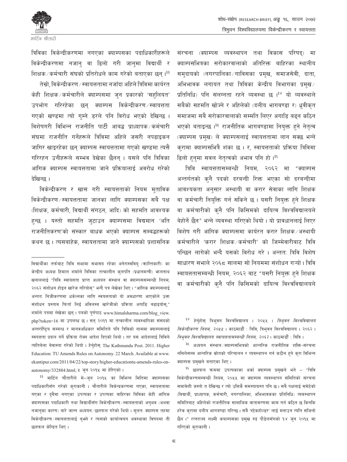

त्रिविका विकेन्द्रीकरणमा नगएका क्याम्पसका पदाधिकारीहरूले विकेन्द्रीकरणमा नजान वा ढिलो गरी जानमा विद्यार्थी र शिक्षक⁄कर्मचारी संघको प्रतिरोधले काम गरेको बताएका छन्।<sup>३३</sup>

तेस्रो, विकेन्द्रीकरण ⁄ स्वायत्ततामा नजाँदा अहिले त्रिविमा कार्यरत केही शिक्षक / कर्मचारीले क्याम्पसमा जन प्रकारको 'सहलियत' उपभोग गरिरहेका छन् क्याम्पस विकेन्द्रीकरण स्वायत्तता गएको खण्डमा त्यो गम्ने डरले पनि विरोध भएको देखिन्छ । विशेषगरी विभिन्न राजनीति पार्टी आबद्ध प्राध्यापक कर्मचारी संघमा राजनीति गर्नेहरूले त्रिविमा अहिले जसरी नपढाइकन जागिर खाइरहेका छन् क्याम्पस स्वायत्ततामा गएको खण्डमा त्यसै गरिरहन उनीहरूले सम्भव देखेका छैनन् । यसले पनि त्रिविका आंगिक क्याम्पस स्वायत्ततामा जाने प्रक्रियालाई अवरोध गरेको देखिन्छ ।

विकेन्द्रीकरण र खास गरी स्वायत्तताको नियम मुताविक विकेन्द्रीकरण ⁄ स्वायत्ततामा जानका लागि क्याम्पसका सबै पक्ष (शिक्षक, कर्मचारी, विद्यार्थी संगठन, आदि) को सहमति आवश्यक हन्छ । यस्तो सहमति ज्टाउन क्याम्पसमा विद्यमान 'अति राजनीतिकरण'को संस्कार बाधक भएको क्याम्पस सम्बद्धहरूको कथन छ । त्यसबाहेक, स्वायत्ततामा जाने क्याम्पसको प्रशासनिक

<sup>३३</sup> मार्टिन चौतारीले मे–जुन २०१५ का विभिन्न मितिमा क्याम्पसका पदाधिकारीसँग गरेको कुराकानी । चौतारीले विकेन्द्रकरणमा गएका, स्वायत्ततामा गएका र दुवैमा नगएका उपत्यका र उपत्यका बाहिरका त्रिविका केही आंगिक क्याम्पसका पदाधिकारी तथा विद्यार्थीसँग विकेन्द्रीकरण/स्वायत्तताको अनुभव (अथवा नजानका कारण) बारे जान्न अध्ययन /छलफल गरेको थियो। मूलत: क्याम्पस तहमा विकेन्द्रीकरण ∕स्वायत्ततालाई बुभने र त्यसको कार्यान्वयन अवस्थाका विषयमा ती छलफल केन्द्रित थिए।

संरचना (क्याम्पस व्यवस्थापन तथा विकास परिषद्) मा क्याम्पसभित्रका सरोकारवालाको अतिरिक्त बाहिरका स्थानीय समदायको (नगरपालिका गाविसका प्रमुख, समाजसेवी, दाता, अभिभावक लगायत तथा त्रिविका केन्द्रीय विभागका प्रमुख प्रतिनिधि) पनि संलग्नता रहने व्यवस्था छ ।<sup>३४</sup> यो व्यवस्थाले सबैको सहमति खोज्ने र अहिलेको (दलीय भागबण्डा र) ध्रवीकत समाजमा सबै सरोकारवालाको सम्मति लिएर अगाडि बढन कठिन भएको बताइन्छ ।<sup>३५</sup> राजनीतिक भागबण्डामा नियक्त हुने नेतृत्व (क्याम्पस प्रमुख) ले क्याम्पसलाई स्वायत्ततामा लान सक्छ भन्ने क्रामा क्याम्पसभित्रै शंका छ । र, स्वायत्तताको प्रक्रिया त्रिविमा ढिलो हुनुमा सवल नेतृत्वको अभाव पनि हो।<sup>३६</sup>

त्रिवि स्वायत्ततासम्बन्धी नियम, २०६२ मा "क्याम्पस अन्तर्गतको कनै पदको दरबन्दी रिक्त भएका सो दरबन्दीमा आवश्यकता अनुसार अस्थायी वा करार सेवाका लागि शिक्षक वा कर्मचारी नियुक्ति गर्न सकिने छ । यसरी नियुक्त हुने शिक्षक वा कर्मचारीको कनै पनि किसिमको दायित्व विश्वविद्यालयले बेहोर्ने छैन" भन्ने व्यवस्था गरिएको थियो । यो प्रावधानलाई लिएर विशेष गरी आंगिक क्याम्पसमा कार्यरत करार शिक्षक/अस्थायी कर्मचारीले 'करार शिक्षक ⁄ कर्मचारी' को जिम्मेवारीबाट त्रिवि पन्छिन लागेको भन्दै यसको विरोध गरे । अन्तत: त्रिवि विशेष साधारण सभाले २०६८ सालमा सो नियममा संशोधन गऱ्यो । त्रिवि स्वायत्ततासम्बन्धी नियम, २०६२ बाट "यसरी नियुक्त हुने शिक्षक वा कर्मचारीको कुनै पनि किसिमको दायित्व विश्वविद्यालयले

<sup>३४</sup> हेर्नुहोस् त्रिभुवन विश्वविद्यालय । २०५५ । *त्रिभुवन विश्वविद्यालय* विकेन्द्रीकरण नियम, २०५५ । काठमाडौँ : त्रिवि; त्रिभुवन विश्वविद्यालय । २०६२ । *त्रिभुवन विश्वविद्यालय स्वायत्ततासम्बन्धी नियम, २०६२* । काठमाडौँ : त्रिवि ।

<sup>३५</sup> अध्ययन संस्थान ब्याम्पसभित्रको आन्तरिक राजनीतिक शक्ति-संरचना नमिलेसम्म आन्तरिक स्रोतको परिचालन र व्यवस्थापन गर्न कठीन हुने कुरा विभिन्न क्याम्पस प्रमुखले बताएका थिए।

<sup>३६</sup> छलफल क्रममा उपत्यकाका अर्का क्याम्पस प्रमुखले भने – "त्रिवि विकेन्द्रीकरणसम्बन्धी नियम, २०५५ मा क्याम्पस व्यवस्थापन समितिको संरचना समावेशी जस्तो त देखिन्छ र त्यो उत्तिकै समस्याग्रस्त पनि छ । सबै पक्षलाई समेटेको (विद्यार्थी, प्राध्यापक, कर्मचारी, नगरपालिका, अभिभावकका प्रतिनिधि) व्यवस्थापन समितिबाट अहिलेको राजनीतिक सामाजिक वातावरणमा काम गर्न कठिन छ किनकि हरेक कुरामा दलीय भागबण्डा गरिन्छ । सबै 'स्टेकहोल्डर' लाई मनाउन त्यति सजिलो छैन ।" रत्नराज्य लक्ष्मी कयाम्पसका प्रमुख रुद्र पौडेलसँगको १४ जुन २०१५ मा गरिएको कराकानी।

विद्यार्थीका तर्फबाट त्रिवि सभामा सभासद रहेका अनेरास्वविय् (कान्तिकारी) का केन्द्रीय अध्यक्ष हिमाल शर्माले त्रिविका तत्कालीन कुलपति (प्रधानमन्त्री) भन्लनाथ खनाललाई "त्रिवि स्वायत्तता प्राप्त अध्ययन संस्थान वा क्याम्पससम्बन्धी नियम, २०६२ संशोधन होइन खारेज गरियोस" भन्दै पत्र लेखेका थिए । "आंगिक क्याम्पसलाई अन्तत: निजीकरणमा धकेल्नका लागि स्वयत्तताको यो अवधारणा आएकोले उक्त संशोधन प्रस्ताव फिर्ता लिई अविलम्ब खारेजीको प्रक्रिया अगाडि बढाइयोस्," शर्माले पत्रमा लेखेका छन्। पत्रको पूर्णपाठ www.himalsharma.com/blog\_view. php?token=16 मा उपलब्ध छ। सन् २०११ मा तत्कालीन व्यवस्थापिका संसदको अन्तर्राष्टिय सम्बन्ध र मानवअधिकार समितिले पनि त्रिविको नाममा क्याम्पसलाई स्वयत्तता प्रदान गर्ने प्रक्रिया रोक्न आदेश दिएको थियो। तर यस आदेशलाई त्रिविले त्यतिबेला बेवास्ता गरेको थियो । हेर्नुहोस् The Kathmandu Post. 2011. Higher Education: TU Amends Rules on Autonomy. 22 March. Available at www. ekantipur.com/2011/04/22/top-story/higher-educationtu-amends-rules-onautonomy/332884.html; ५ जुन २०१५ मा हेरिएको ।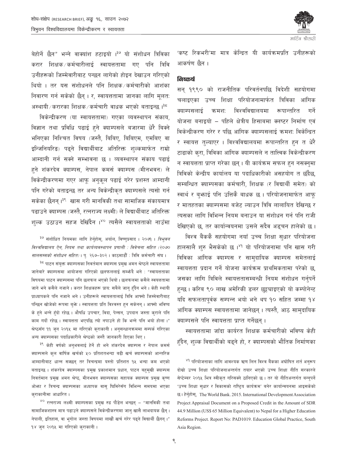

बेहोर्ने छैन" भन्ने वाक्यांश हटाइयो ।<sup>३७</sup> यो संशोधन त्रिविका करार शिक्षक ∕कर्मचारीलाई स्वायत्ततामा गए पनि त्रिवि उनीहरूको जिम्मेवारीबाट पन्छन लागेको होइन देखाउन गरिएको थियो । तर यस संशोधनले पनि शिक्षक⁄कर्मचारीको आशंका निवारण गर्न सकेको छैन् । र, स्वायत्ततामा जानका लागि मूलत: अस्थायी/करारका शिक्षक/कर्मचारी वाधक भएको बताइन्छ ।<sup>३८</sup>

विकेन्द्रीकरण (या स्वायत्ततामा) गएका व्यवस्थापन संकाय, विज्ञान तथा प्रविधि पढाई हने क्याम्पसले बजारमा धेरै बिक्ने भनिएका निश्चित विषय (जस्तै, बिबिए, बिबिएम, एमबिए वा इन्जिनियरिङ) पढ्ने विद्यार्थीबाट अतिरिक्त शुल्कमार्फत राम्रो आम्दानी गर्न सक्ने सम्भावना छ । व्यवस्थापन संकाय पढाई हुने शंकरदेव क्याम्पस, नेपाल कमर्स क्याम्पस (मीनभवन) ले विकेन्द्रीकरणमा गएर आफु अनुकुल पढाई गरेर प्रशस्त आम्दानी पनि गरेको बताइन्छ तर अन्य विकेन्द्रीकृत क्याम्पसले त्यसो गर्न सकेका छैनन् ।<sup>३९</sup> खास गरी मानविकी तथा सामाजिक संकायमात्र पढाउने क्याम्पस (जस्तै, रत्नराज्य लक्ष्मी) ले विद्यार्थीबाट अतिरिक्त शुल्क उठाउन सहज देखिँदैन ।<sup>४०</sup> त्यसैले स्वायत्तताको नाउँमा

<sup>३७</sup> संशोधित नियमका लागि हेर्नुहोस्, अर्याल, विष्णुप्रसाद । २०७१ । *त्रिभुवन* विश्वविद्यालय ऐन, नियम तथा कार्यव्यवस्थापन प्रणाली : विवेचना सहित (२०७० सालसम्मको संशोधन सहित)। पु. २६७-३०२। काठमाडौँ : त्रिवि कर्मचारी संघ ।

<sup>३८</sup> पाटन संयुक्त क्याम्पसका निवर्तमान क्याम्पस प्रमुख अमन श्रेष्ठले स्वायत्ततामा जानेबारे क्याम्पसमा आयोजना गरिएको छलफललाई सम्फँदै भने : "स्वायत्तताका विषयमा पाटन क्याम्पसमा पनि छलफल भएको थियो। छलफलमा कसैले स्वयत्ततामा जाने भने कसैले नजाने। करार शिक्षकहरू प्राय: सबैले जान् हँदैन भने। केही स्थायी प्राध्यापकले पनि नजाने भने । उनीहरूले स्वायत्ततालाई त्रिवि आफ्नो जिम्मेवारीबाट पन्छिन खोजेको रूपमा बुभे । स्वायत्तता प्रति विश्वस्त हुन सकेनन् । आफ्नो भविष्य के हने भन्ने हँदो रहेछ । औषधि उपचार, विदा, पेन्सन, उपदान जस्ता कराले पनि काम गर्दो रहेछ। स्वायत्तता भएपछि त्यो नपाउने हो कि भन्ने पनि भयो होला।" श्रेष्ठसँग ११ जन २०१५ मा गरिएको कराकानी । अनुसन्धानक्रममा सम्पर्क गरिएका अन्य क्याम्पसका पदाधिकारीले श्रेष्ठको जस्तै जानकारी दिएका थिए।

<sup>३९</sup> केही वर्षको अनुभवलाई हेर्ने हो भने शंकरदेव क्याम्पस र नेपाल कमर्स क्याम्पसले कुल वार्षिक खर्चको ५० प्रतिशतभन्दा बढी खर्च क्याम्पसको आन्तरिक आम्दानीबाट धान्न सक्छन् तर त्रिचन्द्रमा यस्तो प्रतिशत १५ भन्दा कम भएको बताइन्छ । शंकरदेव क्याम्पसका प्रमुख प्रकाशमान प्रधान, पाटन बहुमुखी क्याम्पस निवर्तमान प्रमुख अमन श्रेष्ठ, मीनभवन क्याम्पसका सहायक क्याम्पस प्रमुख कृष्ण ओफ़ा र त्रिचन्द्र क्याम्पसका अध्यापक वासु घिमिरेसँग विभिन्न समयमा भएका कराकानीमा आधारित ।

<sup>४०</sup> रत्नराज्य लक्ष्मी क्याम्पसका प्रमुख रुद्र पौडेल भन्छन् – "मानविकी तथा सामाजिकशास्त्र मात्र पढाउने क्याम्पसले विकेन्द्रीकरणमा जान् खासै लाभदायक छैन् । नेपाली, इतिहास, वा भगोल जस्ता विषयमा लाखौं खर्च गरेर पढ़ने विद्यार्थी छैनन् ।" १४ जुन २०१४ मा गरिएको कुराकानी।

'कष्ट रिकभरी'मा मात्र केन्द्रित यी कार्यक्रमपति उनीहरूको आकर्षण छैन ।

#### तिालार्ग

सन् १९९० को राजनीतिक परिवर्तनपछि विदेशी सहयोगमा चलाइएका उच्च शिक्षा परियोजनामार्फत त्रिविका आंगिक क्याम्पसलाई विश्वविद्यालयमा कमश: रूपान्तरित गर्ने योजना बनाइयो – पहिले क्षेत्रीय हिसाबमा क्लष्टर निर्माण एवं विकेन्द्रीकरण गरेर र पछि आंगिक क्याम्पसलाई क्रमश: विकेन्द्रित र स्वायत्त तल्याएर । विश्वविद्यालयमा रूपान्तरित हुन त धेरै टाढाको करा, त्रिविका आंगिक क्याम्पसले न तात्त्विक विकेन्द्रीकरण न स्वायत्तता प्राप्त गरेका छन् । यी कार्यक्रम सफल हुन नसक्नुमा त्रिविको केन्द्रीय कार्यालय या पदाधिकारीको असहयोग त छँदैछ, सम्बन्धित क्याम्पसका कर्मचारी, शिक्षक (र विद्यार्थी समेत) को स्वार्थ र बफाई पनि उत्तिकै बाधक छ। परियोजनामार्फत आफ् र मातहतका क्याम्पसमा बजेट ल्याउन त्रिवि लालायित देखिन्छ र त्यसका लागि विभिन्न नियम बनाउन या संशोधन गर्न पनि राजी देखिएको छ, तर कार्यान्वयनमा उसले सदैव अडुचन हालेको छ।

विश्व बैंककै सहयोगमा नयाँ उच्च शिक्षा सुधार परियोजना हालसालै शुरु भैसकेको छ ।<sup>४१</sup> यो परियोजनामा पनि खास गरी त्रिविका आंगिक क्याम्पस र सामदायिक क्याम्पस समेतलाई स्वायत्तता प्रदान गर्ने योजना कार्यक्रम प्राथमिकतामा परेको छ, जसका लागि त्रिविले स्वायत्ततासम्बन्धी नियम संशोधन गर्नुपर्ने हुन्छ । करिब ९० लाख अमेरिकी डलर छुट्ट्याइएको यो कम्पोनेन्ट यदि सफलतापुर्वक सम्पन्न भयो भने थप १० सहित जम्मा १४ आंगिक क्याम्पस स्वायत्ततामा जानेछन् । त्यस्तै, आठ सामुदायिक क्याम्पसले पनि स्वायत्तता प्राप्त गर्नेछन्।

स्वायत्ततामा जाँदा कार्यरत शिक्षक कर्मचारीको भविष्य केही हँदैन, शल्क विद्यार्थीको बढुने हो, र क्याम्पसको भौतिक निर्माणका

<sup>&</sup>lt;sup>४१</sup> परियोजनाका लागि आवश्यक ऋण लिन विश्व बैंकका अघोषित शर्त अनुरूप दोस्रो उच्च शिक्षा परियोजनाअन्तर्गत तयार भएको उच्च शिक्षा नीति सरकारले सेप्टेम्बर २०१५ भित्र स्वीकृत गरिसक्ने ठानिएको छ। तर यो नीतिअन्तर्गत बन्नुपर्ने 'उच्च शिक्षा सुधार र विकासको राष्ट्रिय कार्यक्रम' बनेर कार्यान्वयनमा आइसकेको छ। हेर्नुहोस्, The World Bank. 2015. International Development Association Project Appraisal Document on a Proposed Credit in the Amount of SDR 44.9 Million (US\$ 65 Million Equivalent) to Nepal for a Higher Education Reforms Project. Report No: PAD1019. Education Global Practice, South Asia Region.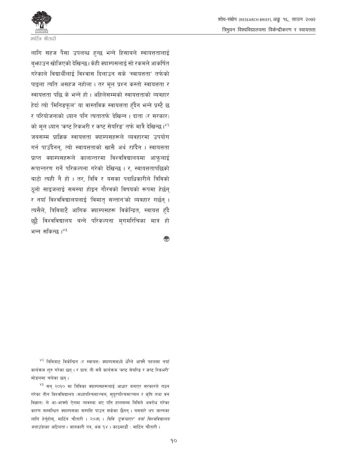शोध-संक्षेप (RESEARCH BRIEF), अङ्कु १६, साउन २०७२ त्रिभवन विश्वविद्यालयमा विकेन्द्रीकरण र स्वायत्तता



लागि सहज पैसा उपलब्ध हुन्छ भन्ने हिसाबले स्वायत्ततालाई ब्फाउन खोजिएको देखिन्छ। केही क्याम्पसलाई सो रकमले आकर्षित गरेकाले विद्यार्थीलाई विश्वास दिलाउन सके 'स्वायत्तता' तर्फको पाइला त्यति असहज नहोला। तर मुल प्रश्न कस्तो स्वायत्तता र स्वायत्तता पछि के भन्ने हो। अहिलेसम्मको स्वायत्तताको व्यवहार हेर्दा त्यो 'मिनिङफुल' या वास्तविक स्वायत्तता हँदैन भन्ने प्रस्टै छ र परियोजनाको ध्यान पनि त्यतातर्फ देखिन्न । दाता (र सरकार) को मूल ध्यान 'कष्ट रिकभरी र कष्ट सेयरिड' तर्फ मात्रै देखिन्छ।<sup>४२</sup> जबसम्म प्राज्ञिक स्वायत्तता क्याम्पसहरूले व्यवहारमा उपयोग गर्न पाउँदैनन, त्यो स्वायत्तताको खासै अर्थ रहँदैन । स्वायत्तता प्राप्त क्याम्पसहरूले कालान्तरमा विश्वविद्यालयमा आफलाई रूपान्तरण गर्ने परिकल्पना गरेको देखिन्छ । र, स्वायत्ततापछिको बाटो त्यही नै हो । तर, त्रिवि र यसका पदाधिकारीले त्रिविको ठूलो साइजलाई समस्या होइन गौरवको विषयको रूपमा हेर्छन् र नयाँ विश्वविद्यालयलाई 'विमात् सन्तान'को व्यवहार गर्छन् । त्यसैले, त्रिविबाटै आंगिक क्याम्पसहरू विकेन्द्रित, स्वायत्त हुँदै छुट्टै विश्वविद्यालय बन्ने परिकल्पना मृगमरिचिका मात्र हो भन्न सकिन्छ । ४३

<sup>४२</sup> त्रिविबाट विकेन्द्रित (र स्वायत्त) क्याम्पसमध्ये धेरैले आफ्नै पहलमा नयाँ कार्यक्रम शुरु गरेका छन्। र प्राय: ती सबै कार्यक्रम 'कष्ट सेयरिड र कष्ट रिकभरी' मोडलमा चलेका छन्।

<sup>४३</sup> सन् २०१० मा त्रिविका क्याम्पसहरूलाई आधार बनाएर सरकारले गठन गरेका तीन विश्वविद्यालय (मध्यपश्चिमाञ्चल, सुदूरपश्चिमाञ्चल र कृषि तथा वन विज्ञान) ले आ-आफ्नो ऐनमा व्यवस्था भए पनि हालसम्म त्रिविले अवरोध गरेका कारण सम्बन्धित क्याम्पसका सम्पत्ति पाउन सकेका छैनन् । यसबारे थप जान्नका लागि हेर्नुहोस्, मार्टिन चौतारी । २०७१ । *त्रिवि 'टुकचाएर' नयाँ विश्वविद्यालय बनाउँदाका जटिलता* । जानकारी पत्र, अंक १४ । काठमाडौं : मार्टिन चौतारी ।

◈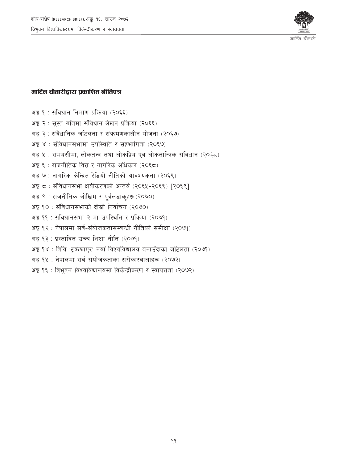

### मार्टिन चौतारीद्वारा प्रकाशित नीतिपत्र

- अङ्ग १ : संविधान निर्माण प्रक्रिया (२०६६)
- अङ्क २ : सुस्त गतिमा संविधान लेखन प्रक्रिया (२०६६)
- अङ्क ३ : संवैधानिक जटिलता र संक्रमणकालीन योजना (२०६७)
- अङ्क ४ : संविधानसभामा उपस्थिति र सहभागिता (२०६७)
- अङ्क ५ : समयसीमा, लोकतन्त्र तथा लोकप्रिय एवं लोकतान्त्रिक संविधान (२०६८)
- अङ्क ६ : राजनीतिक वित्त र नागरिक अधिकार (२०६८)
- अङ्र ७ : नागरिक केन्द्रित रेडियो नीतिको आवश्यकता (२०६९)
- अङ्क ८: संविधानसभा क्षयीकरणको अन्तर्य (२०६५-२०६९) [२०६९]
- अङ्क ९: राजनीतिक जोखिम र पूर्वलडाकुहरु (२०७०)
- अङ्ग १० : संविधानसभाको दोस्रो निर्वाचन (२०७०)
- अङ्क ११ : संविधानसभा २ मा उपस्थिति र प्रक्रिया (२०७१)
- अङ्ग १२ : नेपालमा सर्व-संयोजकतासम्बन्धी नीतिको समीक्षा (२०७१)
- अङ्ग १३ : प्रस्तावित उच्च शिक्षा नीति (२०७१)
- अङ्क १४: त्रिवि 'टुक्रचाएर' नयाँ विश्वविद्यालय बनाउँदाका जटिलता (२०७१)
- अङ्ग १५: नेपालमा सर्व-संयोजकताका सरोकारवालाहरू (२०७२)
- अङ्क १६: त्रिभुवन विश्वविद्यालयमा विकेन्द्रीकरण र स्वायत्तता (२०७२)